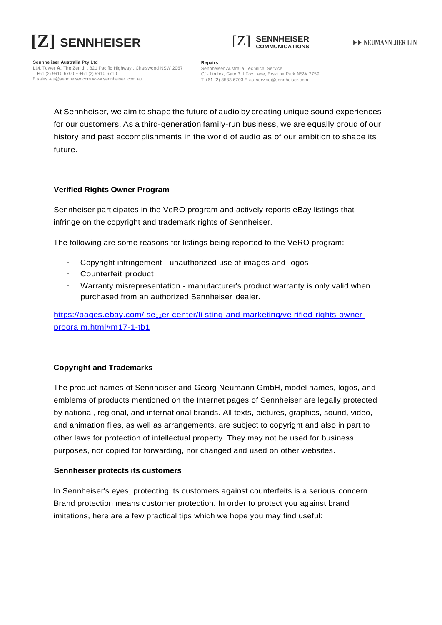



**Sennhe iser Australia Pty Ltd** L14, Tower **A,** The Zenith , 821 Pacific Highway , Chatswood NSW 2067 T +61 (2) 9910 6700 F +61 (2) 9910 6710 [E sales -au@sennheiser.com](mailto:sales-au@sennheiser.com) www.sennheiser .com.au

**Repairs** Sennheiser Australia Technical Service C/ - Lin fox, Gate 3, I Fox Lane, Erski ne Park NSW 2759 T +61 (2) 8583 6703 [E au-service@sennheiser.com](mailto:au-service@sennheiser.com)

At Sennheiser, we aim to shape the future of audio by creating unique sound experiences for our customers. As a third-generation family-run business, we are equally proud of our history and past accomplishments in the world of audio as of our ambition to shape its future.

## **Verified Rights Owner Program**

Sennheiser participates in the VeRO program and actively reports eBay listings that infringe on the copyright and trademark rights of Sennheiser.

The following are some reasons for listings being reported to the VeRO program:

- Copyright infringement unauthorized use of images and logos
- Counterfeit product
- Warranty misrepresentation manufacturer's product warranty is only valid when purchased from an authorized Sennheiser dealer.

https://pages.ebay.com/ se<sub>11</sub>er-center/li sting-and-marketing/ve rified-rights-owner[progra m.html#m17-1-tb1](https://pages.ebay.com/seller-center/listing-and-marketing/verified-rights-owner-program.html#m17-1-tb1)

# **Copyright and Trademarks**

The product names of Sennheiser and Georg Neumann GmbH, model names, logos, and emblems of products mentioned on the Internet pages of Sennheiser are legally protected by national, regional, and international brands. All texts, pictures, graphics, sound, video, and animation files, as well as arrangements, are subject to copyright and also in part to other laws for protection of intellectual property. They may not be used for business purposes, nor copied for forwarding, nor changed and used on other websites.

### **Sennheiser protects its customers**

In Sennheiser's eyes, protecting its customers against counterfeits is a serious concern. Brand protection means customer protection. In order to protect you against brand imitations, here are a few practical tips which we hope you may find useful: